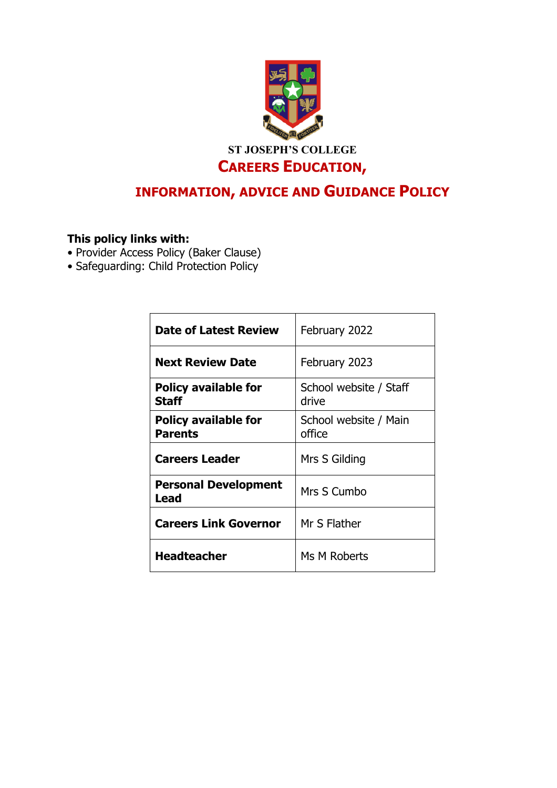

# **INFORMATION, ADVICE AND GUIDANCE POLICY**

# **This policy links with:**

- Provider Access Policy (Baker Clause)
- Safeguarding: Child Protection Policy

| <b>Date of Latest Review</b>                  | February 2022                   |
|-----------------------------------------------|---------------------------------|
| <b>Next Review Date</b>                       | February 2023                   |
| <b>Policy available for</b><br><b>Staff</b>   | School website / Staff<br>drive |
| <b>Policy available for</b><br><b>Parents</b> | School website / Main<br>office |
| <b>Careers Leader</b>                         | Mrs S Gilding                   |
| <b>Personal Development</b><br>Lead           | Mrs S Cumbo                     |
| <b>Careers Link Governor</b>                  | Mr S Flather                    |
| <b>Headteacher</b>                            | Ms M Roberts                    |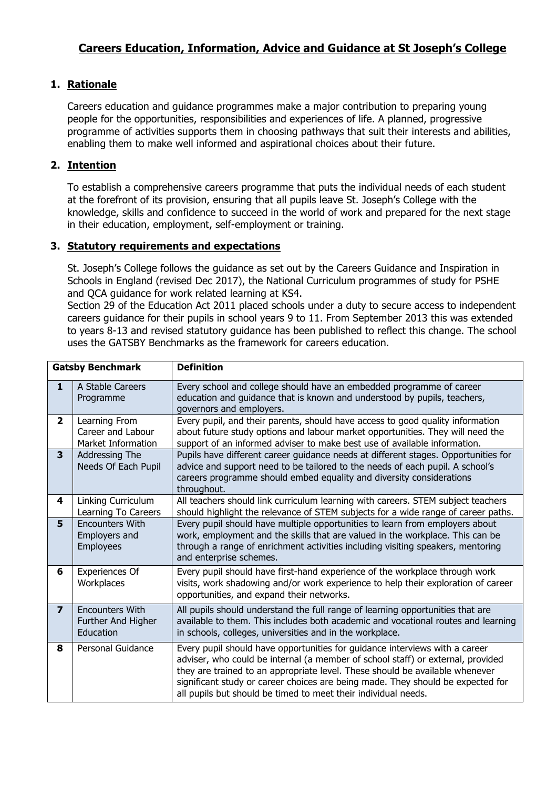## **1. Rationale**

Careers education and guidance programmes make a major contribution to preparing young people for the opportunities, responsibilities and experiences of life. A planned, progressive programme of activities supports them in choosing pathways that suit their interests and abilities, enabling them to make well informed and aspirational choices about their future.

### **2. Intention**

To establish a comprehensive careers programme that puts the individual needs of each student at the forefront of its provision, ensuring that all pupils leave St. Joseph's College with the knowledge, skills and confidence to succeed in the world of work and prepared for the next stage in their education, employment, self-employment or training.

#### **3. Statutory requirements and expectations**

St. Joseph's College follows the guidance as set out by the Careers Guidance and Inspiration in Schools in England (revised Dec 2017), the National Curriculum programmes of study for PSHE and QCA guidance for work related learning at KS4.

Section 29 of the Education Act 2011 placed schools under a duty to secure access to independent careers guidance for their pupils in school years 9 to 11. From September 2013 this was extended to years 8-13 and revised statutory guidance has been published to reflect this change. The school uses the GATSBY Benchmarks as the framework for careers education.

| <b>Definition</b><br><b>Gatsby Benchmark</b> |                                                           |                                                                                                                                                                                                                                                                                                                                                                                                     |
|----------------------------------------------|-----------------------------------------------------------|-----------------------------------------------------------------------------------------------------------------------------------------------------------------------------------------------------------------------------------------------------------------------------------------------------------------------------------------------------------------------------------------------------|
| $\mathbf{1}$                                 | A Stable Careers<br>Programme                             | Every school and college should have an embedded programme of career<br>education and guidance that is known and understood by pupils, teachers,<br>governors and employers.                                                                                                                                                                                                                        |
| $\mathbf{2}$                                 | Learning From<br>Career and Labour<br>Market Information  | Every pupil, and their parents, should have access to good quality information<br>about future study options and labour market opportunities. They will need the<br>support of an informed adviser to make best use of available information.                                                                                                                                                       |
| $\overline{\mathbf{3}}$                      | Addressing The<br>Needs Of Each Pupil                     | Pupils have different career guidance needs at different stages. Opportunities for<br>advice and support need to be tailored to the needs of each pupil. A school's<br>careers programme should embed equality and diversity considerations<br>throughout.                                                                                                                                          |
| 4                                            | Linking Curriculum<br>Learning To Careers                 | All teachers should link curriculum learning with careers. STEM subject teachers<br>should highlight the relevance of STEM subjects for a wide range of career paths.                                                                                                                                                                                                                               |
| 5                                            | <b>Encounters With</b><br>Employers and<br>Employees      | Every pupil should have multiple opportunities to learn from employers about<br>work, employment and the skills that are valued in the workplace. This can be<br>through a range of enrichment activities including visiting speakers, mentoring<br>and enterprise schemes.                                                                                                                         |
| 6                                            | Experiences Of<br>Workplaces                              | Every pupil should have first-hand experience of the workplace through work<br>visits, work shadowing and/or work experience to help their exploration of career<br>opportunities, and expand their networks.                                                                                                                                                                                       |
| $\overline{7}$                               | <b>Encounters With</b><br>Further And Higher<br>Education | All pupils should understand the full range of learning opportunities that are<br>available to them. This includes both academic and vocational routes and learning<br>in schools, colleges, universities and in the workplace.                                                                                                                                                                     |
| 8                                            | Personal Guidance                                         | Every pupil should have opportunities for guidance interviews with a career<br>adviser, who could be internal (a member of school staff) or external, provided<br>they are trained to an appropriate level. These should be available whenever<br>significant study or career choices are being made. They should be expected for<br>all pupils but should be timed to meet their individual needs. |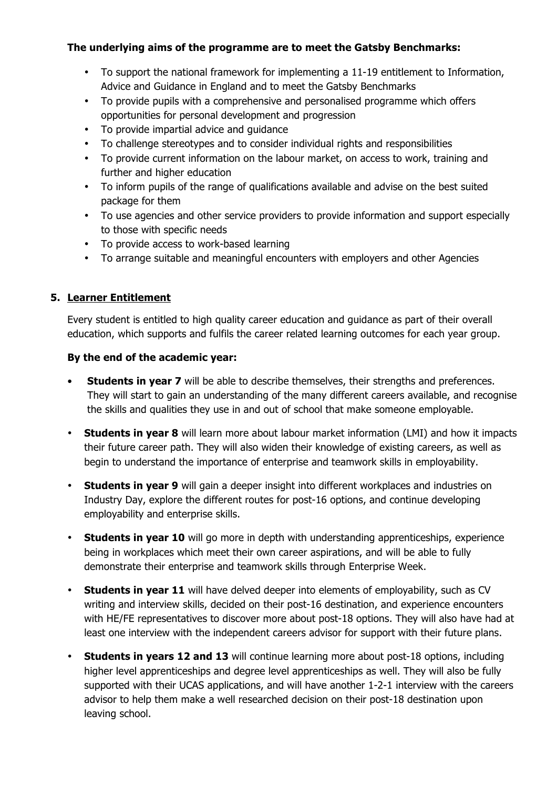## **The underlying aims of the programme are to meet the Gatsby Benchmarks:**

- To support the national framework for implementing a 11-19 entitlement to Information, Advice and Guidance in England and to meet the Gatsby Benchmarks
- To provide pupils with a comprehensive and personalised programme which offers opportunities for personal development and progression
- To provide impartial advice and guidance
- To challenge stereotypes and to consider individual rights and responsibilities
- To provide current information on the labour market, on access to work, training and further and higher education
- To inform pupils of the range of qualifications available and advise on the best suited package for them
- To use agencies and other service providers to provide information and support especially to those with specific needs
- To provide access to work-based learning
- To arrange suitable and meaningful encounters with employers and other Agencies

## **5. Learner Entitlement**

Every student is entitled to high quality career education and guidance as part of their overall education, which supports and fulfils the career related learning outcomes for each year group.

## **By the end of the academic year:**

- **Students in year 7** will be able to describe themselves, their strengths and preferences. They will start to gain an understanding of the many different careers available, and recognise the skills and qualities they use in and out of school that make someone employable.
- **Students in year 8** will learn more about labour market information (LMI) and how it impacts their future career path. They will also widen their knowledge of existing careers, as well as begin to understand the importance of enterprise and teamwork skills in employability.
- **Students in year 9** will gain a deeper insight into different workplaces and industries on Industry Day, explore the different routes for post-16 options, and continue developing employability and enterprise skills.
- **Students in year 10** will go more in depth with understanding apprenticeships, experience being in workplaces which meet their own career aspirations, and will be able to fully demonstrate their enterprise and teamwork skills through Enterprise Week.
- **Students in year 11** will have delved deeper into elements of employability, such as CV writing and interview skills, decided on their post-16 destination, and experience encounters with HE/FE representatives to discover more about post-18 options. They will also have had at least one interview with the independent careers advisor for support with their future plans.
- **Students in years 12 and 13** will continue learning more about post-18 options, including higher level apprenticeships and degree level apprenticeships as well. They will also be fully supported with their UCAS applications, and will have another 1-2-1 interview with the careers advisor to help them make a well researched decision on their post-18 destination upon leaving school.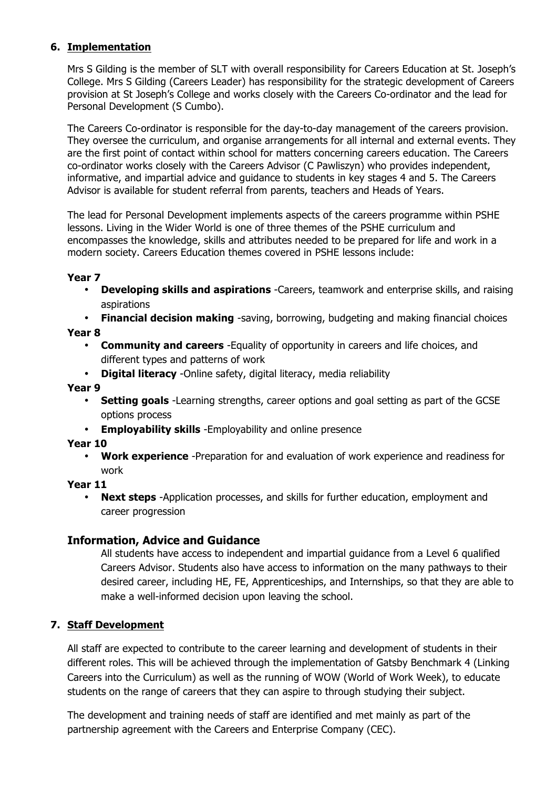## **6. Implementation**

Mrs S Gilding is the member of SLT with overall responsibility for Careers Education at St. Joseph's College. Mrs S Gilding (Careers Leader) has responsibility for the strategic development of Careers provision at St Joseph's College and works closely with the Careers Co-ordinator and the lead for Personal Development (S Cumbo).

The Careers Co-ordinator is responsible for the day-to-day management of the careers provision. They oversee the curriculum, and organise arrangements for all internal and external events. They are the first point of contact within school for matters concerning careers education. The Careers co-ordinator works closely with the Careers Advisor (C Pawliszyn) who provides independent, informative, and impartial advice and guidance to students in key stages 4 and 5. The Careers Advisor is available for student referral from parents, teachers and Heads of Years.

The lead for Personal Development implements aspects of the careers programme within PSHE lessons. Living in the Wider World is one of three themes of the PSHE curriculum and encompasses the knowledge, skills and attributes needed to be prepared for life and work in a modern society. Careers Education themes covered in PSHE lessons include:

#### **Year 7**

• **Developing skills and aspirations** -Careers, teamwork and enterprise skills, and raising aspirations

• **Financial decision making** -saving, borrowing, budgeting and making financial choices **Year 8**

- **Community and careers** -Equality of opportunity in careers and life choices, and
	- different types and patterns of work
- **Digital literacy** -Online safety, digital literacy, media reliability

#### **Year 9**

- **Setting goals** -Learning strengths, career options and goal setting as part of the GCSE options process
- **Employability skills** -Employability and online presence

**Year 10**

• **Work experience** -Preparation for and evaluation of work experience and readiness for work

#### **Year 11**

• **Next steps** -Application processes, and skills for further education, employment and career progression

#### **Information, Advice and Guidance**

All students have access to independent and impartial guidance from a Level 6 qualified Careers Advisor. Students also have access to information on the many pathways to their desired career, including HE, FE, Apprenticeships, and Internships, so that they are able to make a well-informed decision upon leaving the school.

#### **7. Staff Development**

All staff are expected to contribute to the career learning and development of students in their different roles. This will be achieved through the implementation of Gatsby Benchmark 4 (Linking Careers into the Curriculum) as well as the running of WOW (World of Work Week), to educate students on the range of careers that they can aspire to through studying their subject.

The development and training needs of staff are identified and met mainly as part of the partnership agreement with the Careers and Enterprise Company (CEC).